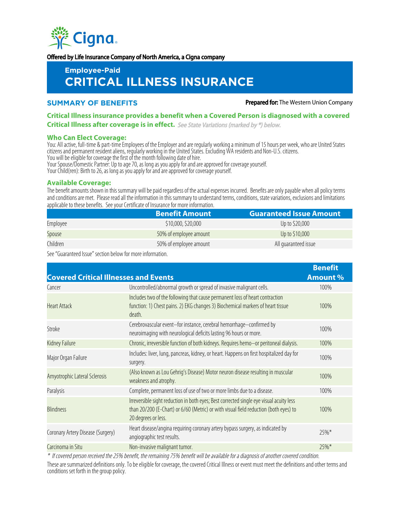

Offered by Life Insurance Company of North America, a Cigna company

# **Employee-Paid CRITICAL ILLNESS INSURANCE**

**SUMMARY OF BENEFITS Prepared for:** The Western Union Company

## **Critical Illness insurance provides a benefit when a Covered Person is diagnosed with a covered Critical Illness after coverage is in effect.** See State Variations (marked by \*) below.

#### **Who Can Elect Coverage:**

You: All active, full-time & part-time Employees of the Employer and are regularly working a minimum of 15 hours per week, who are United States citizens and permanent resident aliens, regularly working in the United States. Excluding WA residents and Non-U.S. citizens. You will be eligible for coverage the first of the month following date of hire.

Your Spouse/Domestic Partner: Up to age 70, as long as you apply for and are approved for coverage yourself.

Your Child(ren): Birth to 26, as long as you apply for and are approved for coverage yourself.

## **Available Coverage:**

The benefit amounts shown in this summary will be paid regardless of the actual expenses incurred. Benefits are only payable when all policy terms and conditions are met. Please read all the information in this summary to understand terms, conditions, state variations, exclusions and limitations applicable to these benefits. See your Certificate of Insurance for more information.

|          | <b>Benefit Amount</b>  | <b>Guaranteed Issue Amount</b> |
|----------|------------------------|--------------------------------|
| Employee | \$10,000, \$20,000     | Up to \$20,000                 |
| Spouse   | 50% of employee amount | Up to \$10,000                 |
| Children | 50% of employee amount | All quaranteed issue           |

See "Guaranteed Issue" section below for more information.

| <b>Covered Critical Illnesses and Events</b> |                                                                                                                                                                                                        | <b>Benefit</b><br><b>Amount %</b> |
|----------------------------------------------|--------------------------------------------------------------------------------------------------------------------------------------------------------------------------------------------------------|-----------------------------------|
| Cancer                                       | Uncontrolled/abnormal growth or spread of invasive malignant cells.                                                                                                                                    | 100%                              |
| <b>Heart Attack</b>                          | Includes two of the following that cause permanent loss of heart contraction<br>function: 1) Chest pains. 2) EKG changes 3) Biochemical markers of heart tissue<br>death.                              | 100%                              |
| Stroke                                       | Cerebrovascular event-for instance, cerebral hemorrhage-confirmed by<br>neuroimaging with neurological deficits lasting 96 hours or more.                                                              | 100%                              |
| Kidney Failure                               | Chronic, irreversible function of both kidneys. Requires hemo-or peritoneal dialysis.                                                                                                                  | 100%                              |
| Major Organ Failure                          | Includes: liver, lung, pancreas, kidney, or heart. Happens on first hospitalized day for<br>surgery.                                                                                                   | 100%                              |
| Amyotrophic Lateral Sclerosis                | (Also known as Lou Gehrig's Disease) Motor neuron disease resulting in muscular<br>weakness and atrophy.                                                                                               | 100%                              |
| Paralysis                                    | Complete, permanent loss of use of two or more limbs due to a disease.                                                                                                                                 | 100%                              |
| <b>Blindness</b>                             | Irreversible sight reduction in both eyes; Best corrected single eye visual acuity less<br>than 20/200 (E-Chart) or 6/60 (Metric) or with visual field reduction (both eyes) to<br>20 degrees or less. | 100%                              |
| Coronary Artery Disease (Surgery)            | Heart disease/angina requiring coronary artery bypass surgery, as indicated by<br>angiographic test results.                                                                                           | $25\%*$                           |
| Carcinoma in Situ                            | Non-invasive malignant tumor.                                                                                                                                                                          | 25%*                              |

\* If covered person received the 25% benefit, the remaining 75% benefit will be available for a diagnosis of another covered condition.

These are summarized definitions only. To be eligible for coverage, the covered Critical Illness or event must meet the definitions and other terms and conditions set forth in the group policy.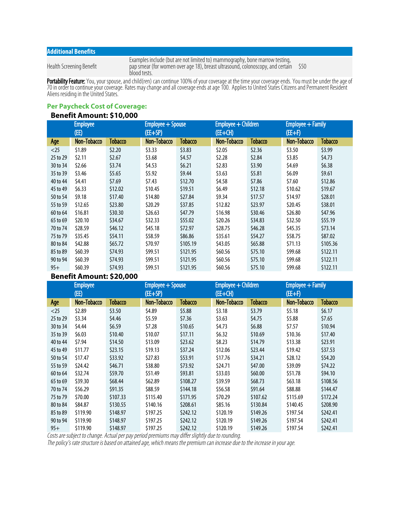## **Additional Benefits**

Health Screening Benefit

Examples include (but are not limited to) mammography, bone marrow testing, pap smear (for women over age 18), breast ultrasound, colonoscopy, and certain blood tests. \$50

**Portability Feature:** You, your spouse, and child(ren) can continue 100% of your coverage at the time your coverage ends. You must be under the age of 70in order to continue your coverage. Rates may change and all coverage ends at age 100. Applies to United States Citizens and Permanent Resident Aliens residing in the United States.

## **Per Paycheck Cost of Coverage:**

## **Benefit Amount: \$10,000**

| <b>Employee</b> |             | Employee + Spouse |             | Employee + Children |             | <b>Employee + Family</b> |             |          |
|-----------------|-------------|-------------------|-------------|---------------------|-------------|--------------------------|-------------|----------|
|                 | (EE)        |                   | (EE+SP)     |                     | $(EE+CH)$   |                          | $(EE+F)$    |          |
| Age             | Non-Tobacco | Tobacco           | Non-Tobacco | Tobacco             | Non-Tobacco | <b>Tobacco</b>           | Non-Tobacco | Tobacco  |
| $<$ 25          | \$1.89      | \$2.20            | \$3.33      | \$3.83              | \$2.05      | \$2.36                   | \$3.50      | \$3.99   |
| 25 to 29        | \$2.11      | \$2.67            | \$3.68      | \$4.57              | \$2.28      | \$2.84                   | \$3.85      | \$4.73   |
| 30 to 34        | \$2.66      | \$3.74            | \$4.53      | \$6.21              | \$2.83      | \$3.90                   | \$4.69      | \$6.38\$ |
| 35 to 39        | \$3.46      | \$5.65            | \$5.92      | \$9.44              | \$3.63      | \$5.81                   | \$6.09      | \$9.61   |
| 40 to 44        | \$4.41      | \$7.69            | \$7.43      | \$12.70             | \$4.58      | \$7.86                   | \$7.60      | \$12.86  |
| 45 to 49        | 56.33       | \$12.02           | \$10.45     | \$19.51             | \$6.49      | \$12.18                  | \$10.62     | \$19.67  |
| 50 to 54        | \$9.18      | \$17.40           | \$14.80     | \$27.84             | \$9.34      | \$17.57                  | \$14.97     | \$28.01  |
| 55 to 59        | \$12.65     | \$23.80           | \$20.29     | \$37.85             | \$12.82     | \$23.97                  | \$20.45     | \$38.01  |
| 60 to 64        | \$16.81     | \$30.30           | \$26.63     | \$47.79             | \$16.98     | \$30.46                  | \$26.80     | \$47.96  |
| 65 to 69        | \$20.10     | \$34.67           | \$32.33     | \$55.02             | \$20.26     | \$34.83                  | \$32.50     | \$55.19  |
| 70 to 74        | \$28.59     | \$46.12           | \$45.18     | \$72.97             | \$28.75     | \$46.28                  | \$45.35     | \$73.14  |
| 75 to 79        | \$35.45     | \$54.11           | \$58.59     | \$86.86             | \$35.61     | \$54.27                  | \$58.75     | \$87.02  |
| 80 to 84        | \$42.88     | \$65.72           | \$70.97     | \$105.19            | \$43.05     | \$65.88                  | \$71.13     | \$105.36 |
| 85 to 89        | \$60.39     | \$74.93           | \$99.51     | \$121.95            | \$60.56     | \$75.10                  | \$99.68     | \$122.11 |
| 90 to 94        | \$60.39     | \$74.93           | \$99.51     | \$121.95            | \$60.56     | \$75.10                  | \$99.68     | \$122.11 |
| $95+$           | \$60.39     | \$74.93           | \$99.51     | \$121.95            | \$60.56     | \$75.10                  | \$99.68     | \$122.11 |

## **Benefit Amount: \$20,000**

| <b>Employee</b> |             | Employee + Spouse |             | Employee + Children |             | Employee + Family |             |                |
|-----------------|-------------|-------------------|-------------|---------------------|-------------|-------------------|-------------|----------------|
|                 | (EE)        |                   | (EE+SP)     |                     | $(EE+CH)$   |                   | $(EE+F)$    |                |
| Age             | Non-Tobacco | <b>Tobacco</b>    | Non-Tobacco | Tobacco             | Non-Tobacco | <b>Tobacco</b>    | Non-Tobacco | <b>Tobacco</b> |
| $<$ 25          | \$2.89      | \$3.50            | \$4.89      | \$5.88              | \$3.18      | \$3.79            | \$5.18      | \$6.17         |
| 25 to 29        | \$3.34      | \$4.46            | \$5.59      | \$7.36              | \$3.63      | \$4.75            | \$5.88      | \$7.65         |
| 30 to 34        | \$4.44      | \$6.59            | \$7.28      | \$10.65             | \$4.73      | \$6.88            | \$7.57      | \$10.94        |
| 35 to 39        | \$6.03      | \$10.40           | \$10.07     | \$17.11             | \$6.32\$    | \$10.69           | \$10.36     | \$17.40        |
| 40 to 44        | \$7.94      | \$14.50           | \$13.09     | \$23.62             | \$8.23      | \$14.79           | \$13.38     | \$23.91        |
| 45 to 49        | \$11.77     | \$23.15           | \$19.13     | \$37.24             | \$12.06     | \$23.44           | \$19.42     | \$37.53        |
| 50 to 54        | \$17.47     | \$33.92           | \$27.83     | \$53.91             | \$17.76     | \$34.21           | \$28.12     | \$54.20        |
| 55 to 59        | \$24.42     | \$46.71           | \$38.80     | \$73.92             | \$24.71     | \$47.00           | \$39.09     | \$74.22        |
| 60 to 64        | \$32.74     | \$59.70           | \$51.49     | \$93.81             | \$33.03     | \$60.00           | \$51.78     | \$94.10        |
| 65 to 69        | \$39.30     | \$68.44           | \$62.89     | \$108.27            | \$39.59     | \$68.73           | \$63.18     | \$108.56       |
| 70 to 74        | \$56.29     | \$91.35           | \$88.59     | \$144.18            | \$56.58     | \$91.64           | \$88.88     | \$144.47       |
| 75 to 79        | \$70.00     | \$107.33          | \$115.40    | \$171.95            | \$70.29     | \$107.62          | \$115.69    | \$172.24       |
| 80 to 84        | \$84.87     | \$130.55          | \$140.16    | \$208.61            | \$85.16     | \$130.84          | \$140.45    | \$208.90       |
| 85 to 89        | \$119.90    | \$148.97          | \$197.25    | \$242.12            | \$120.19    | \$149.26          | \$197.54    | \$242.41       |
| 90 to 94        | \$119.90    | \$148.97          | \$197.25    | \$242.12            | \$120.19    | \$149.26          | \$197.54    | \$242.41       |
| $95+$           | \$119.90    | \$148.97          | \$197.25    | \$242.12            | \$120.19    | \$149.26          | \$197.54    | \$242.41       |

Costs are subject to change. Actual per pay period premiums may differ slightly due to rounding.

The policy's rate structure is based on attained age, which means the premium can increase due to the increase in your age.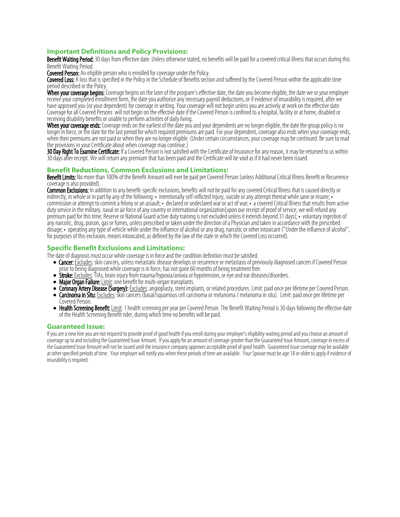## **Important Definitions and Policy Provisions:**

Benefit Waiting Period: 30 days from effective date. Unless otherwise stated, no benefits will be paid for a covered critical illness that occurs during this Benefit Waiting Period.

**Covered Person:** An eligible person who is enrolled for coverage under the Policy.

Covered Loss: A loss that is specified in the Policy in the Schedule of Benefits section and suffered by the Covered Person within the applicable time period described in the Policy.

When your coverage begins: Coverage begins on the later of the program's effective date, the date you become eligible, the date we or your employer receive your completed enrollment form, the date you authorize any necessary payroll deductions, or if evidence of insurability is required, after we have approved you (or your dependent) for coverage in writing. Your coverage will not begin unless you are actively at work on the effective date. Coverage for all Covered Persons will not begin on the effective date if the Covered Person is confined to a hospital, facility or at home, disabled or receiving disability benefits or unable to perform activities of daily living.

When your coverage ends: Coverage ends on the earliest of the date you and your dependents are no longer eligible, the date the group policy is no longer in force, or the date for the last period for which required premiums are paid. For your dependent, coverage also ends when your coverage ends, when their premiums are not paid or when they are no longer eligible. (Under certain circumstances, your coverage may be continued. Be sure to read the provisions in your Certificate about when coverage may continue.)

**30 Day Right To Examine Certificate:** If a Covered Person is not satisfied with the Certificate of Insurance for any reason, it may be returned to us within 30 days after receipt. We will return any premium that has been paid and the Certificate will be void as if it had never been issued.

## **Benefit Reductions, Common Exclusions and Limitations:**

Benefit Limits: No more than 100% of the Benefit Amount will ever be paid per Covered Person (unless Additional Critical Illness Benefit or Recurrence coverage is also provided).

Common Exclusions: In addition to any benefit-specific exclusions, benefits will not be paid for any covered Critical Illness that is caused directly or indirectly, in whole or in part by any of the following: • intentionally self-inflicted Injury, suicide or any attempt thereat while sane or insane; • commission or attempt to commit a felony or an assault; • declared or undeclared war or act of war; • a covered Critical Illness that results from active duty service in the military, naval or air force of any country or international organization(upon our receipt of proof of service, we will refund any premium paid for this time; Reserve or National Guard active duty training is not excluded unless it extends beyond 31 days); • voluntary ingestion of any narcotic, drug, poison, gas or fumes, unless prescribed or taken under the direction of a Physician and taken in accordance with the prescribed dosage; • operating any type of vehicle while under the influence of alcohol or any drug, narcotic or other intoxicant (''Under the influence of alcohol'', for purposes of this exclusion, means intoxicated, as defined by the law of the state in which the Covered Loss occurred).

## **Specific Benefit Exclusions and Limitations:**

The date of diagnosis must occur while coverage is in force and the condition definition must be satisfied.

- Cancer: Excludes: skin cancers, unless metastatic disease develops or recurrence or metastasis of previously diagnosed cancers if Covered Person prior to being diagnosed while coverage is in force, has not gone 60 months of being treatment free.
- **Stroke:** Excludes: TIAs, brain injury from trauma/hypoxia/anoxia or hypotension, or eye and ear diseases/disorders.
- Major Organ Failure: Limit: one benefit for multi-organ transplants.
- Coronary Artery Disease (Surgery): Excludes: angioplasty, stent implants, or related procedures. Limit: paid once per lifetime per Covered Person.<br>• Carcinoma in Situ: Excludes: skin cancers (basal/squamous cell carcinom
- **Carcinoma in Situ:** Excludes: skin cancers (basal/squamous cell carcinoma or melanoma / melanoma in situ). Limit: paid once per lifetime per Covered Person.
- Health Screening Benefit: Limit: 1 health screening per year per Covered Person. The Benefit Waiting Period is 30 days following the effective date of the Health Screening Benefit rider, during which time no benefits will be paid.

#### **Guaranteed Issue:**

If you are a new hire you are not required to provide proof of good health if you enroll during your employer's eligibility waiting period and you choose an amount of coverage up to and including the Guaranteed Issue Amount. If you apply for an amount of coverage greater than the Guaranteed Issue Amount, coverage in excess of the Guaranteed Issue Amount will not be issued until the insurance company approves acceptable proof of good health. Guaranteed Issue coverage may be available at other specified periods of time. Your employer will notify you when these periods of time are available. Your Spouse must be age 18 or older to apply if evidence of insurability is required.